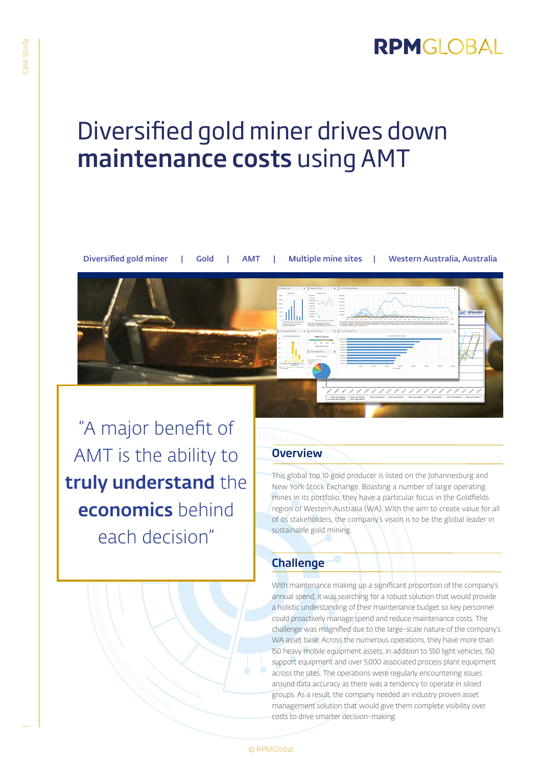## RPMGLOBAL

# Diversified gold miner drives down maintenance costs using AMT



"A major benefit of AMT is the ability to truly understand the economics behind each decision"

#### **Overview**

This global top 10 gold producer is listed on the Johannesburg and New York Stock Exchange. Boasting a number of large operating mines in its portfolio, they have a particular focus in the Goldfields region of Western Australia (WA). With the aim to create value for all of its stakeholders, the company's vision is to be the global leader in sustainable gold mining.

### **Challenge**

With maintenance making up a significant proportion of the company's annual spend, it was searching for a robust solution that would provide a holistic understanding of their maintenance budget so key personnel could proactively manage spend and reduce maintenance costs. The challenge was magnified due to the large-scale nature of the company's WA asset base. Across the numerous operations, they have more than 150 heavy mobile equipment assets, in addition to 550 light vehicles, 150 support equipment and over 5,000 associated process plant equipment across the sites. The operations were regularly encountering issues around data accuracy as there was a tendency to operate in siloed groups. As a result, the company needed an industry proven asset management solution that would give them complete visibility over costs to drive smarter decision-making.